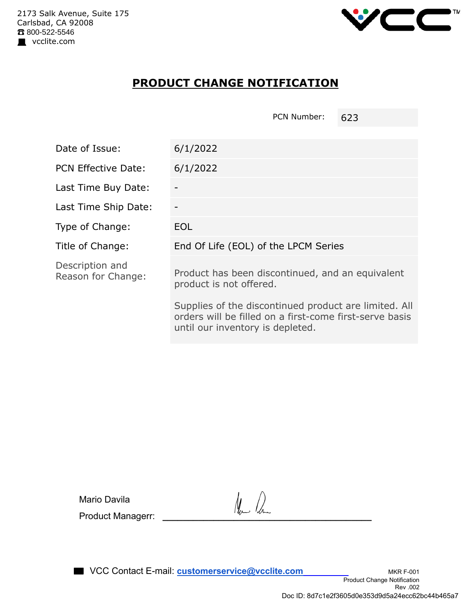

## **PRODUCT CHANGE NOTIFICATION**

PCN Number: 623

| Date of Issue:                        | 6/1/2022                                                                                                                                             |
|---------------------------------------|------------------------------------------------------------------------------------------------------------------------------------------------------|
| <b>PCN Effective Date:</b>            | 6/1/2022                                                                                                                                             |
| Last Time Buy Date:                   |                                                                                                                                                      |
| Last Time Ship Date:                  |                                                                                                                                                      |
| Type of Change:                       | <b>EOL</b>                                                                                                                                           |
| Title of Change:                      | End Of Life (EOL) of the LPCM Series                                                                                                                 |
| Description and<br>Reason for Change: | Product has been discontinued, and an equivalent<br>product is not offered.                                                                          |
|                                       | Supplies of the discontinued product are limited. All<br>orders will be filled on a first-come first-serve basis<br>until our inventory is depleted. |

Mario Davila Product Managerr: **\_\_\_\_\_\_\_\_\_\_\_\_\_\_\_\_\_\_\_\_\_\_\_\_\_\_\_\_\_\_\_\_\_\_\_\_\_\_\_\_\_**